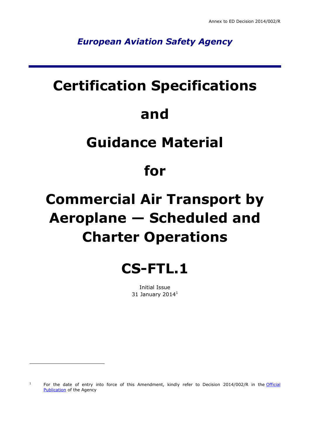*European Aviation Safety Agency*

### **Certification Specifications**

### **and**

### **Guidance Material**

### **for**

# **Commercial Air Transport by Aeroplane — Scheduled and Charter Operations**



Initial Issue 31 January 2014 $^1$ 

-

<sup>1</sup> For the date of entry into force of this Amendment, kindly refer to Decision 2014/002/R in the Official [Publication](http://easa.europa.eu/official-publication/) of the Agency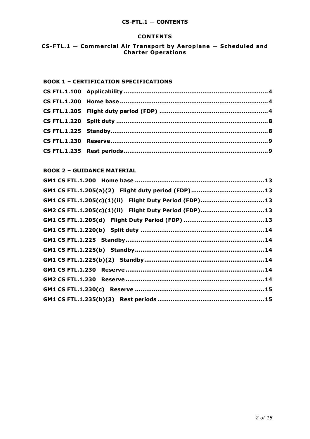### **CS-FTL.1 — CONTENTS**

#### **CONTENTS**

**CS-FTL.1** - Commercial Air Transport by Aeroplane - Scheduled and **Charter Operations**

### **BOOK 1 – CERTIFICATION SPECIFICATIONS**

### **BOOK 2 – GUIDANCE MATERIAL**

| GM1 CS FTL.1.205(c)(1)(ii) Flight Duty Period (FDP)13 |  |
|-------------------------------------------------------|--|
| GM2 CS FTL.1.205(c)(1)(ii) Flight Duty Period (FDP)13 |  |
|                                                       |  |
|                                                       |  |
|                                                       |  |
|                                                       |  |
|                                                       |  |
|                                                       |  |
|                                                       |  |
|                                                       |  |
|                                                       |  |
|                                                       |  |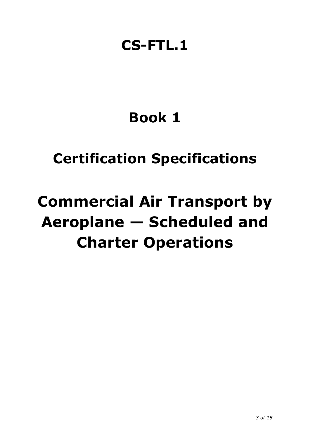### **CS-FTL.1**

## **Book 1**

## **Certification Specifications**

# **Commercial Air Transport by Aeroplane — Scheduled and Charter Operations**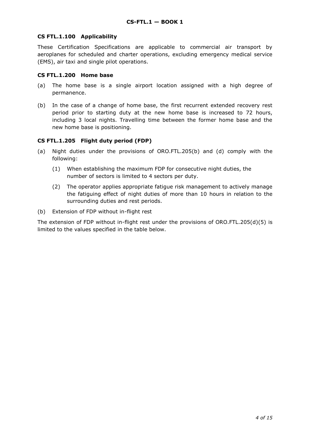### <span id="page-3-0"></span>**CS FTL.1.100 Applicability**

These Certification Specifications are applicable to commercial air transport by aeroplanes for scheduled and charter operations, excluding emergency medical service (EMS), air taxi and single pilot operations.

### <span id="page-3-1"></span>**CS FTL.1.200 Home base**

- (a) The home base is a single airport location assigned with a high degree of permanence.
- (b) In the case of a change of home base, the first recurrent extended recovery rest period prior to starting duty at the new home base is increased to 72 hours, including 3 local nights. Travelling time between the former home base and the new home base is positioning.

### <span id="page-3-2"></span>**CS FTL.1.205 Flight duty period (FDP)**

- (a) Night duties under the provisions of ORO.FTL.205(b) and (d) comply with the following:
	- (1) When establishing the maximum FDP for consecutive night duties, the number of sectors is limited to 4 sectors per duty.
	- (2) The operator applies appropriate fatigue risk management to actively manage the fatiguing effect of night duties of more than 10 hours in relation to the surrounding duties and rest periods.
- (b) Extension of FDP without in-flight rest

The extension of FDP without in-flight rest under the provisions of  $ORO.FTL.205(d)(5)$  is limited to the values specified in the table below.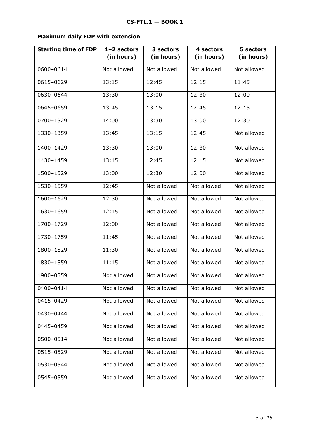### **Maximum daily FDP with extension**

| <b>Starting time of FDP</b> | $1 - 2$ sectors | 3 sectors   | 4 sectors   | 5 sectors   |  |
|-----------------------------|-----------------|-------------|-------------|-------------|--|
|                             | (in hours)      | (in hours)  | (in hours)  | (in hours)  |  |
| 0600-0614                   | Not allowed     | Not allowed | Not allowed | Not allowed |  |
| 0615-0629                   | 13:15           | 12:45       | 12:15       | 11:45       |  |
| 0630-0644                   | 13:30           | 13:00       | 12:30       | 12:00       |  |
| 0645-0659                   | 13:45           | 13:15       | 12:45       | 12:15       |  |
| 0700-1329                   | 14:00           | 13:30       | 13:00       | 12:30       |  |
| 1330-1359                   | 13:45           | 13:15       | 12:45       | Not allowed |  |
| 1400-1429                   | 13:30           | 13:00       | 12:30       | Not allowed |  |
| 1430-1459                   | 13:15           | 12:45       | 12:15       | Not allowed |  |
| 1500-1529                   | 13:00           | 12:30       | 12:00       | Not allowed |  |
| 1530-1559                   | 12:45           | Not allowed | Not allowed | Not allowed |  |
| 1600-1629                   | 12:30           | Not allowed | Not allowed | Not allowed |  |
| 1630-1659                   | 12:15           | Not allowed | Not allowed | Not allowed |  |
| 1700-1729                   | 12:00           | Not allowed | Not allowed | Not allowed |  |
| 1730-1759                   | 11:45           | Not allowed | Not allowed | Not allowed |  |
| 1800-1829                   | 11:30           | Not allowed | Not allowed | Not allowed |  |
| 1830-1859                   | 11:15           | Not allowed | Not allowed | Not allowed |  |
| 1900-0359                   | Not allowed     | Not allowed | Not allowed | Not allowed |  |
| 0400-0414                   | Not allowed     | Not allowed | Not allowed | Not allowed |  |
| 0415-0429                   | Not allowed     | Not allowed | Not allowed | Not allowed |  |
| 0430-0444                   | Not allowed     | Not allowed | Not allowed | Not allowed |  |
| 0445-0459                   | Not allowed     | Not allowed | Not allowed | Not allowed |  |
| 0500-0514                   | Not allowed     | Not allowed | Not allowed | Not allowed |  |
| 0515-0529                   | Not allowed     | Not allowed | Not allowed | Not allowed |  |
| 0530-0544                   | Not allowed     | Not allowed | Not allowed | Not allowed |  |
| 0545-0559                   | Not allowed     | Not allowed | Not allowed | Not allowed |  |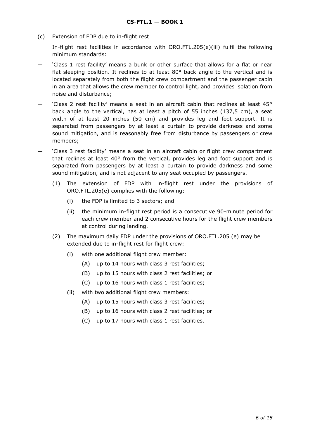(c) Extension of FDP due to in-flight rest

In-flight rest facilities in accordance with ORO.FTL.205(e)(iii) fulfil the following minimum standards:

- 'Class 1 rest facility' means a bunk or other surface that allows for a flat or near flat sleeping position. It reclines to at least  $80^{\circ}$  back angle to the vertical and is located separately from both the flight crew compartment and the passenger cabin in an area that allows the crew member to control light, and provides isolation from noise and disturbance;
- 'Class 2 rest facility' means a seat in an aircraft cabin that reclines at least 45° back angle to the vertical, has at least a pitch of 55 inches (137,5 cm), a seat width of at least 20 inches (50 cm) and provides leg and foot support. It is separated from passengers by at least a curtain to provide darkness and some sound mitigation, and is reasonably free from disturbance by passengers or crew members;
- 'Class 3 rest facility' means a seat in an aircraft cabin or flight crew compartment that reclines at least 40° from the vertical, provides leg and foot support and is separated from passengers by at least a curtain to provide darkness and some sound mitigation, and is not adjacent to any seat occupied by passengers.
	- (1) The extension of FDP with in-flight rest under the provisions of ORO.FTL.205(e) complies with the following:
		- (i) the FDP is limited to 3 sectors; and
		- (ii) the minimum in-flight rest period is a consecutive 90-minute period for each crew member and 2 consecutive hours for the flight crew members at control during landing.
	- (2) The maximum daily FDP under the provisions of ORO.FTL.205 (e) may be extended due to in-flight rest for flight crew:
		- (i) with one additional flight crew member:
			- (A) up to 14 hours with class 3 rest facilities;
			- (B) up to 15 hours with class 2 rest facilities; or
			- (C) up to 16 hours with class 1 rest facilities;
		- (ii) with two additional flight crew members:
			- (A) up to 15 hours with class 3 rest facilities;
			- (B) up to 16 hours with class 2 rest facilities; or
			- (C) up to 17 hours with class 1 rest facilities.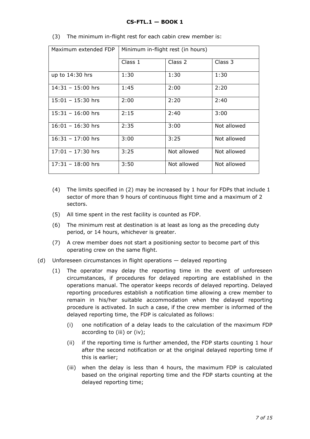### **CS-FTL.1 — BOOK 1**

| Maximum extended FDP | Minimum in-flight rest (in hours) |             |             |  |
|----------------------|-----------------------------------|-------------|-------------|--|
|                      | Class 1                           | Class 2     | Class 3     |  |
| up to $14:30$ hrs    | 1:30                              | 1:30        | 1:30        |  |
| $14:31 - 15:00$ hrs  | 1:45                              | 2:00        | 2:20        |  |
| $15:01 - 15:30$ hrs  | 2:00                              | 2:20        | 2:40        |  |
| $15:31 - 16:00$ hrs  | 2:15                              | 2:40        | 3:00        |  |
| $16:01 - 16:30$ hrs  | 2:35                              | 3:00        | Not allowed |  |
| $16:31 - 17:00$ hrs  | 3:00                              | 3:25        | Not allowed |  |
| $17:01 - 17:30$ hrs  | 3:25                              | Not allowed | Not allowed |  |
| $17:31 - 18:00$ hrs  | 3:50                              | Not allowed | Not allowed |  |

(3) The minimum in-flight rest for each cabin crew member is:

- (4) The limits specified in (2) may be increased by 1 hour for FDPs that include 1 sector of more than 9 hours of continuous flight time and a maximum of 2 sectors.
- (5) All time spent in the rest facility is counted as FDP.
- (6) The minimum rest at destination is at least as long as the preceding duty period, or 14 hours, whichever is greater.
- (7) A crew member does not start a positioning sector to become part of this operating crew on the same flight.
- (d) Unforeseen circumstances in flight operations delayed reporting
	- (1) The operator may delay the reporting time in the event of unforeseen circumstances, if procedures for delayed reporting are established in the operations manual. The operator keeps records of delayed reporting. Delayed reporting procedures establish a notification time allowing a crew member to remain in his/her suitable accommodation when the delayed reporting procedure is activated. In such a case, if the crew member is informed of the delayed reporting time, the FDP is calculated as follows:
		- (i) one notification of a delay leads to the calculation of the maximum FDP according to (iii) or (iv);
		- (ii) if the reporting time is further amended, the FDP starts counting 1 hour after the second notification or at the original delayed reporting time if this is earlier;
		- (iii) when the delay is less than 4 hours, the maximum FDP is calculated based on the original reporting time and the FDP starts counting at the delayed reporting time;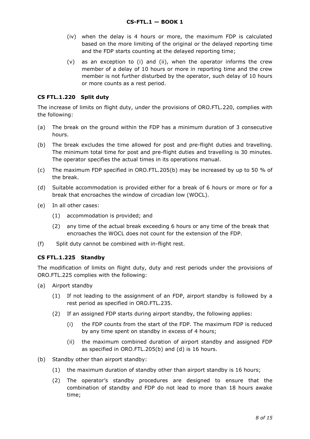- (iv) when the delay is 4 hours or more, the maximum FDP is calculated based on the more limiting of the original or the delayed reporting time and the FDP starts counting at the delayed reporting time;
- (v) as an exception to (i) and (ii), when the operator informs the crew member of a delay of 10 hours or more in reporting time and the crew member is not further disturbed by the operator, such delay of 10 hours or more counts as a rest period.

### <span id="page-7-0"></span>**CS FTL.1.220 Split duty**

The increase of limits on flight duty, under the provisions of ORO.FTL.220, complies with the following:

- (a) The break on the ground within the FDP has a minimum duration of 3 consecutive hours.
- (b) The break excludes the time allowed for post and pre-flight duties and travelling. The minimum total time for post and pre-flight duties and travelling is 30 minutes. The operator specifies the actual times in its operations manual.
- (c) The maximum FDP specified in ORO.FTL.205(b) may be increased by up to 50 % of the break.
- (d) Suitable accommodation is provided either for a break of 6 hours or more or for a break that encroaches the window of circadian low (WOCL).
- (e) In all other cases:
	- (1) accommodation is provided; and
	- (2) any time of the actual break exceeding 6 hours or any time of the break that encroaches the WOCL does not count for the extension of the FDP.
- (f) Split duty cannot be combined with in-flight rest.

### <span id="page-7-1"></span>**CS FTL.1.225 Standby**

The modification of limits on flight duty, duty and rest periods under the provisions of ORO.FTL.225 complies with the following:

- (a) Airport standby
	- (1) If not leading to the assignment of an FDP, airport standby is followed by a rest period as specified in ORO.FTL.235.
	- (2) If an assigned FDP starts during airport standby, the following applies:
		- (i) the FDP counts from the start of the FDP. The maximum FDP is reduced by any time spent on standby in excess of 4 hours;
		- (ii) the maximum combined duration of airport standby and assigned FDP as specified in ORO.FTL.205(b) and (d) is 16 hours.
- (b) Standby other than airport standby:
	- (1) the maximum duration of standby other than airport standby is 16 hours;
	- (2) The operator's standby procedures are designed to ensure that the combination of standby and FDP do not lead to more than 18 hours awake time;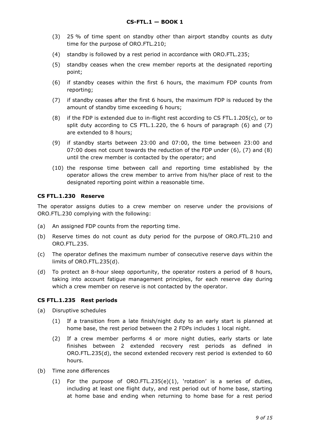- (3) 25 % of time spent on standby other than airport standby counts as duty time for the purpose of ORO.FTL.210;
- (4) standby is followed by a rest period in accordance with ORO.FTL.235;
- (5) standby ceases when the crew member reports at the designated reporting point;
- (6) if standby ceases within the first 6 hours, the maximum FDP counts from reporting;
- (7) if standby ceases after the first 6 hours, the maximum FDP is reduced by the amount of standby time exceeding 6 hours;
- (8) if the FDP is extended due to in-flight rest according to CS FTL.1.205(c), or to split duty according to CS FTL.1.220, the 6 hours of paragraph (6) and (7) are extended to 8 hours;
- (9) if standby starts between 23:00 and 07:00, the time between 23:00 and 07:00 does not count towards the reduction of the FDP under  $(6)$ ,  $(7)$  and  $(8)$ until the crew member is contacted by the operator; and
- (10) the response time between call and reporting time established by the operator allows the crew member to arrive from his/her place of rest to the designated reporting point within a reasonable time.

### <span id="page-8-0"></span>**CS FTL.1.230 Reserve**

The operator assigns duties to a crew member on reserve under the provisions of ORO.FTL.230 complying with the following:

- (a) An assigned FDP counts from the reporting time.
- (b) Reserve times do not count as duty period for the purpose of ORO.FTL.210 and ORO.FTL.235.
- (c) The operator defines the maximum number of consecutive reserve days within the limits of ORO.FTL.235(d).
- (d) To protect an 8-hour sleep opportunity, the operator rosters a period of 8 hours, taking into account fatigue management principles, for each reserve day during which a crew member on reserve is not contacted by the operator.

### <span id="page-8-1"></span>**CS FTL.1.235 Rest periods**

- (a) Disruptive schedules
	- (1) If a transition from a late finish/night duty to an early start is planned at home base, the rest period between the 2 FDPs includes 1 local night.
	- (2) If a crew member performs 4 or more night duties, early starts or late finishes between 2 extended recovery rest periods as defined in ORO.FTL.235(d), the second extended recovery rest period is extended to 60 hours.
- (b) Time zone differences
	- (1) For the purpose of ORO.FTL.235(e)(1), 'rotation' is a series of duties, including at least one flight duty, and rest period out of home base, starting at home base and ending when returning to home base for a rest period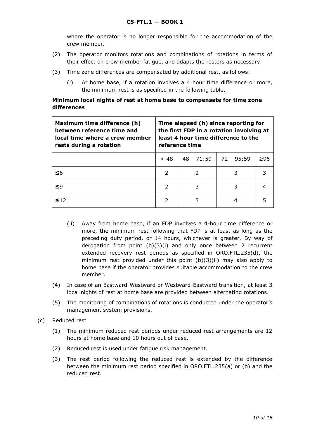where the operator is no longer responsible for the accommodation of the crew member.

- (2) The operator monitors rotations and combinations of rotations in terms of their effect on crew member fatigue, and adapts the rosters as necessary.
- (3) Time zone differences are compensated by additional rest, as follows:
	- (i) At home base, if a rotation involves a 4 hour time difference or more, the minimum rest is as specified in the following table.

### **Minimum local nights of rest at home base to compensate for time zone differences**

| Maximum time difference (h)<br>between reference time and<br>local time where a crew member<br>rests during a rotation | Time elapsed (h) since reporting for<br>the first FDP in a rotation involving at<br>least 4 hour time difference to the<br>reference time |              |              |     |
|------------------------------------------------------------------------------------------------------------------------|-------------------------------------------------------------------------------------------------------------------------------------------|--------------|--------------|-----|
|                                                                                                                        | ~< 48                                                                                                                                     | $48 - 71:59$ | $72 - 95:59$ | >96 |
| ≤6                                                                                                                     | $\mathcal{P}$                                                                                                                             |              |              |     |
| ≤9                                                                                                                     | $\overline{\phantom{a}}$                                                                                                                  | 3            | 3            | 4   |
| 512                                                                                                                    | 2                                                                                                                                         |              |              |     |

- (ii) Away from home base, if an FDP involves a 4-hour time difference or more, the minimum rest following that FDP is at least as long as the preceding duty period, or 14 hours, whichever is greater. By way of derogation from point (b)(3)(i) and only once between 2 recurrent extended recovery rest periods as specified in ORO.FTL.235(d), the minimum rest provided under this point (b)(3)(ii) may also apply to home base if the operator provides suitable accommodation to the crew member.
- (4) In case of an Eastward-Westward or Westward-Eastward transition, at least 3 local nights of rest at home base are provided between alternating rotations.
- (5) The monitoring of combinations of rotations is conducted under the operator's management system provisions.
- (c) Reduced rest
	- (1) The minimum reduced rest periods under reduced rest arrangements are 12 hours at home base and 10 hours out of base.
	- (2) Reduced rest is used under fatigue risk management.
	- (3) The rest period following the reduced rest is extended by the difference between the minimum rest period specified in ORO.FTL.235(a) or (b) and the reduced rest.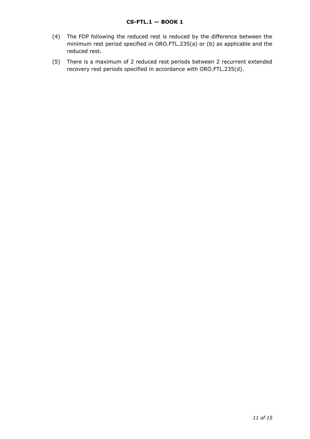- (4) The FDP following the reduced rest is reduced by the difference between the minimum rest period specified in ORO.FTL.235(a) or (b) as applicable and the reduced rest.
- (5) There is a maximum of 2 reduced rest periods between 2 recurrent extended recovery rest periods specified in accordance with ORO.FTL.235(d).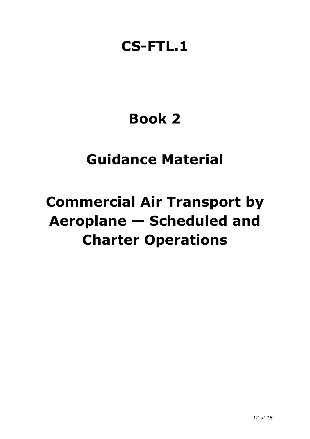### **CS-FTL.1**

## **Book 2**

### **Guidance Material**

# **Commercial Air Transport by Aeroplane — Scheduled and Charter Operations**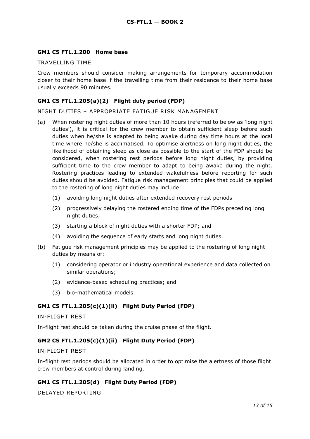### <span id="page-12-0"></span>**GM1 CS FTL.1.200 Home base**

### TRAVELLING TIME

Crew members should consider making arrangements for temporary accommodation closer to their home base if the travelling time from their residence to their home base usually exceeds 90 minutes.

### <span id="page-12-1"></span>**GM1 CS FTL.1.205(a)(2) Flight duty period (FDP)**

NIGHT DUTIES – APPROPRIATE FATIGUE RISK MANAGEMENT

- (a) When rostering night duties of more than 10 hours (referred to below as 'long night duties'), it is critical for the crew member to obtain sufficient sleep before such duties when he/she is adapted to being awake during day time hours at the local time where he/she is acclimatised. To optimise alertness on long night duties, the likelihood of obtaining sleep as close as possible to the start of the FDP should be considered, when rostering rest periods before long night duties, by providing sufficient time to the crew member to adapt to being awake during the night. Rostering practices leading to extended wakefulness before reporting for such duties should be avoided. Fatigue risk management principles that could be applied to the rostering of long night duties may include:
	- (1) avoiding long night duties after extended recovery rest periods
	- (2) progressively delaying the rostered ending time of the FDPs preceding long night duties;
	- (3) starting a block of night duties with a shorter FDP; and
	- (4) avoiding the sequence of early starts and long night duties.
- (b) Fatigue risk management principles may be applied to the rostering of long night duties by means of:
	- (1) considering operator or industry operational experience and data collected on similar operations;
	- (2) evidence-based scheduling practices; and
	- (3) bio-mathematical models.

### <span id="page-12-2"></span>**GM1 CS FTL.1.205(c)(1)(ii) Flight Duty Period (FDP)**

#### IN-FLIGHT REST

In-flight rest should be taken during the cruise phase of the flight.

### <span id="page-12-3"></span>**GM2 CS FTL.1.205(c)(1)(ii) Flight Duty Period (FDP)**

IN-FLIGHT REST

In-flight rest periods should be allocated in order to optimise the alertness of those flight crew members at control during landing.

### <span id="page-12-4"></span>**GM1 CS FTL.1.205(d) Flight Duty Period (FDP)**

DELAYED REPORTING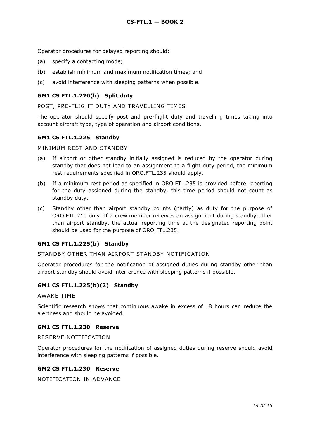Operator procedures for delayed reporting should:

- (a) specify a contacting mode;
- (b) establish minimum and maximum notification times; and
- (c) avoid interference with sleeping patterns when possible.

### <span id="page-13-0"></span>**GM1 CS FTL.1.220(b) Split duty**

POST, PRE-FLIGHT DUTY AND TRAVELLING TIMES

The operator should specify post and pre-flight duty and travelling times taking into account aircraft type, type of operation and airport conditions.

### <span id="page-13-1"></span>**GM1 CS FTL.1.225 Standby**

MINIMUM REST AND STANDBY

- (a) If airport or other standby initially assigned is reduced by the operator during standby that does not lead to an assignment to a flight duty period, the minimum rest requirements specified in ORO.FTL.235 should apply.
- (b) If a minimum rest period as specified in ORO.FTL.235 is provided before reporting for the duty assigned during the standby, this time period should not count as standby duty.
- (c) Standby other than airport standby counts (partly) as duty for the purpose of ORO.FTL.210 only. If a crew member receives an assignment during standby other than airport standby, the actual reporting time at the designated reporting point should be used for the purpose of ORO.FTL.235.

### <span id="page-13-2"></span>**GM1 CS FTL.1.225(b) Standby**

### STANDBY OTHER THAN AIRPORT STANDBY NOTIFICATION

Operator procedures for the notification of assigned duties during standby other than airport standby should avoid interference with sleeping patterns if possible.

### <span id="page-13-3"></span>**GM1 CS FTL.1.225(b)(2) Standby**

AWAKE TIME

Scientific research shows that continuous awake in excess of 18 hours can reduce the alertness and should be avoided.

### <span id="page-13-4"></span>**GM1 CS FTL.1.230 Reserve**

### RESERVE NOTIFICATION

Operator procedures for the notification of assigned duties during reserve should avoid interference with sleeping patterns if possible.

### <span id="page-13-5"></span>**GM2 CS FTL.1.230 Reserve**

NOTIFICATION IN ADVANCE